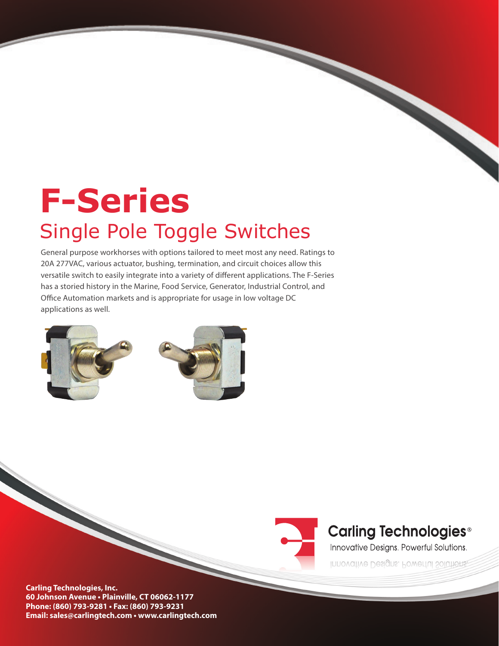# **F-Series**  Single Pole Toggle Switches

General purpose workhorses with options tailored to meet most any need. Ratings to 20A 277VAC, various actuator, bushing, termination, and circuit choices allow this versatile switch to easily integrate into a variety of different applications. The F-Series has a storied history in the Marine, Food Service, Generator, Industrial Control, and Office Automation markets and is appropriate for usage in low voltage DC applications as well.





## **Carling Technologies®**

Innovative Designs. Powerful Solutions.

Innovative Designs. Powerful Solutions.

**Carling Technologies, Inc. 60 Johnson Avenue • Plainville, CT 06062-1177 Phone: (860) 793-9281 • Fax: (860) 793-9231 Email: sales@carlingtech.com • www.carlingtech.com**